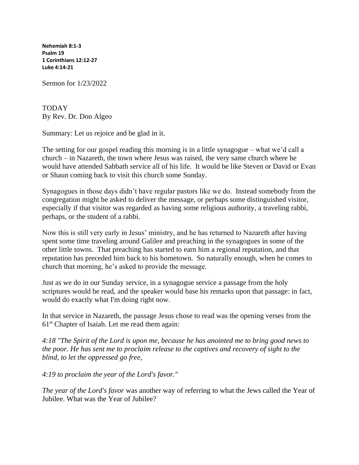**Nehemiah 8:1-3 [Psalm 19](https://lectionary.library.vanderbilt.edu/texts.php?id=109#psalm_reading)  1 Corinthians 12:12-27 [Luke 4:14-21](https://lectionary.library.vanderbilt.edu/texts.php?id=109#gospel_reading)**

Sermon for 1/23/2022

TODAY By Rev. Dr. Don Algeo

Summary: Let us rejoice and be glad in it.

The setting for our gospel reading this morning is in a little synagogue – what we'd call a church – in Nazareth, the town where Jesus was raised, the very same church where he would have attended Sabbath service all of his life. It would be like Steven or David or Evan or Shaun coming back to visit this church some Sunday.

Synagogues in those days didn't have regular pastors like we do. Instead somebody from the congregation might be asked to deliver the message, or perhaps some distinguished visitor, especially if that visitor was regarded as having some religious authority, a traveling rabbi, perhaps, or the student of a rabbi.

Now this is still very early in Jesus' ministry, and he has returned to Nazareth after having spent some time traveling around Galilee and preaching in the synagogues in some of the other little towns. That preaching has started to earn him a regional reputation, and that reputation has preceded him back to his hometown. So naturally enough, when he comes to church that morning, he's asked to provide the message.

Just as we do in our Sunday service, in a synagogue service a passage from the holy scriptures would be read, and the speaker would base his remarks upon that passage: in fact, would do exactly what I'm doing right now.

In that service in Nazareth, the passage Jesus chose to read was the opening verses from the  $61<sup>st</sup>$  Chapter of Isaiah. Let me read them again:

*4:18 "The Spirit of the Lord is upon me, because he has anointed me to bring good news to the poor. He has sent me to proclaim release to the captives and recovery of sight to the blind, to let the oppressed go free,*

*4:19 to proclaim the year of the Lord's favor."*

*The year of the Lord's favor* was another way of referring to what the Jews called the Year of Jubilee. What was the Year of Jubilee?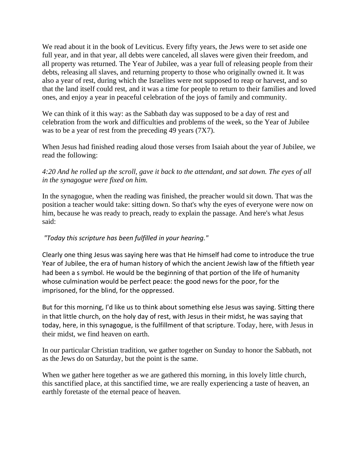We read about it in the book of Leviticus. Every fifty years, the Jews were to set aside one full year, and in that year, all debts were canceled, all slaves were given their freedom, and all property was returned. The Year of Jubilee, was a year full of releasing people from their debts, releasing all slaves, and returning property to those who originally owned it. It was also a year of rest, during which the Israelites were not supposed to reap or harvest, and so that the land itself could rest, and it was a time for people to return to their families and loved ones, and enjoy a year in peaceful celebration of the joys of family and community.

We can think of it this way: as the Sabbath day was supposed to be a day of rest and celebration from the work and difficulties and problems of the week, so the Year of Jubilee was to be a year of rest from the preceding 49 years (7X7).

When Jesus had finished reading aloud those verses from Isaiah about the year of Jubilee, we read the following:

## *4:20 And he rolled up the scroll, gave it back to the attendant, and sat down. The eyes of all in the synagogue were fixed on him.*

In the synagogue, when the reading was finished, the preacher would sit down. That was the position a teacher would take: sitting down. So that's why the eyes of everyone were now on him, because he was ready to preach, ready to explain the passage. And here's what Jesus said:

## *"Today this scripture has been fulfilled in your hearing."*

Clearly one thing Jesus was saying here was that He himself had come to introduce the true Year of Jubilee, the era of human history of which the ancient Jewish law of the fiftieth year had been a s symbol. He would be the beginning of that portion of the life of humanity whose culmination would be perfect peace: the good news for the poor, for the imprisoned, for the blind, for the oppressed.

But for this morning, I'd like us to think about something else Jesus was saying. Sitting there in that little church, on the holy day of rest, with Jesus in their midst, he was saying that today, here, in this synagogue, is the fulfillment of that scripture. Today, here, with Jesus in their midst, we find heaven on earth.

In our particular Christian tradition, we gather together on Sunday to honor the Sabbath, not as the Jews do on Saturday, but the point is the same.

When we gather here together as we are gathered this morning, in this lovely little church, this sanctified place, at this sanctified time, we are really experiencing a taste of heaven, an earthly foretaste of the eternal peace of heaven.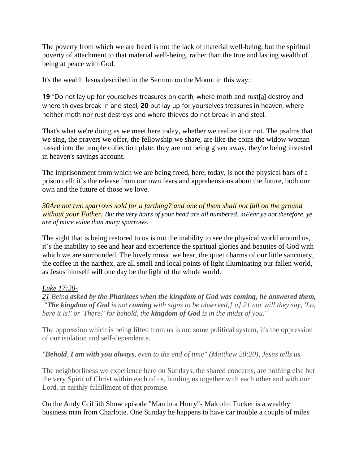The poverty from which we are freed is not the lack of material well-being, but the spiritual poverty of attachment to that material well-being, rather than the true and lasting wealth of being at peace with God.

It's the wealth Jesus described in the Sermon on the Mount in this way:

**19** "Do not lay up for yourselves treasures on earth, where moth and rust[\[a\]](https://www.biblegateway.com/passage/?search=Matthew%206:19-24&version=ESV#fen-ESV-23302a) destroy and where thieves break in and steal, **20** but lay up for yourselves treasures in heaven, where neither moth nor rust destroys and where thieves do not break in and steal.

That's what we're doing as we meet here today, whether we realize it or not. The psalms that we sing, the prayers we offer, the fellowship we share, are like the coins the widow woman tossed into the temple collection plate: they are not being given away, they're being invested in heaven's savings account.

The imprisonment from which we are being freed, here, today, is not the physical bars of a prison cell; it's the release from our own fears and apprehensions about the future, both our own and the future of those we love.

*[30A](https://www.kingjamesbibleonline.org/Matthew-10-30/)re not two sparrows sold for a farthing? and one of them shall not fall on the ground without your Father. But the very hairs of your head are all numbered. [31](https://www.kingjamesbibleonline.org/Matthew-10-31/)Fear ye not therefore, ye are of more value than many sparrows.*

The sight that is being restored to us is not the inability to see the physical world around us, it's the inability to see and hear and experience the spiritual glories and beauties of God with which we are surrounded. The lovely music we hear, the quiet charms of our little sanctuary, the coffee in the narthex, are all small and local points of light illuminating our fallen world, as Jesus himself will one day be the light of the whole world.

## *[Luke 17:20-](https://www.biblegateway.com/passage/?search=Luke+17%3A20-21&version=RSVCE)*

*[21](https://www.biblegateway.com/passage/?search=Luke+17%3A20-21&version=RSVCE) Being asked by the Pharisees when the kingdom of God was coming, he answered them, "The kingdom of God is not coming with signs to be observed;[ a] 21 nor will they say, 'Lo, here it is!' or 'There!' for behold, the kingdom of God is in the midst of you."*

The oppression which is being lifted from us is not some political system, it's the oppression of our isolation and self-dependence.

*"Behold, I am with you always, even to the end of time" (Matthew 28:20), Jesus tells us.*

The neighborliness we experience here on Sundays, the shared concerns, are nothing else but the very Spirit of Christ within each of us, binding us together with each other and with our Lord, in earthly fulfillment of that promise.

On the Andy Griffith Show episode "Man in a Hurry"- Malcolm Tucker is a wealthy business man from Charlotte. One Sunday he happens to have car trouble a couple of miles